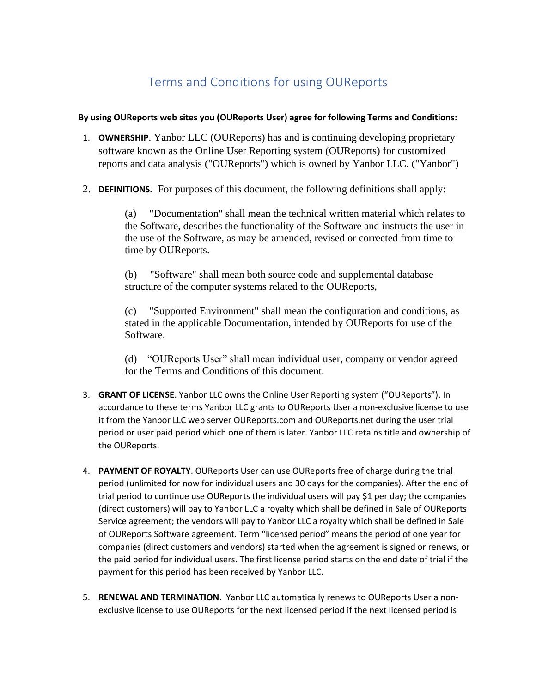## Terms and Conditions for using OUReports

## **By using OUReports web sites you (OUReports User) agree for following Terms and Conditions:**

- 1. **OWNERSHIP**. Yanbor LLC (OUReports) has and is continuing developing proprietary software known as the Online User Reporting system (OUReports) for customized reports and data analysis ("OUReports") which is owned by Yanbor LLC. ("Yanbor")
- 2. **DEFINITIONS.** For purposes of this document, the following definitions shall apply:

(a) "Documentation" shall mean the technical written material which relates to the Software, describes the functionality of the Software and instructs the user in the use of the Software, as may be amended, revised or corrected from time to time by OUReports.

(b) "Software" shall mean both source code and supplemental database structure of the computer systems related to the OUReports,

(c) "Supported Environment" shall mean the configuration and conditions, as stated in the applicable Documentation, intended by OUReports for use of the Software.

(d) "OUReports User" shall mean individual user, company or vendor agreed for the Terms and Conditions of this document.

- 3. **GRANT OF LICENSE**. Yanbor LLC owns the Online User Reporting system ("OUReports"). In accordance to these terms Yanbor LLC grants to OUReports User a non-exclusive license to use it from the Yanbor LLC web server OUReports.com and OUReports.net during the user trial period or user paid period which one of them is later. Yanbor LLC retains title and ownership of the OUReports.
- 4. **PAYMENT OF ROYALTY**. OUReports User can use OUReports free of charge during the trial period (unlimited for now for individual users and 30 days for the companies). After the end of trial period to continue use OUReports the individual users will pay \$1 per day; the companies (direct customers) will pay to Yanbor LLC a royalty which shall be defined in Sale of OUReports Service agreement; the vendors will pay to Yanbor LLC a royalty which shall be defined in Sale of OUReports Software agreement. Term "licensed period" means the period of one year for companies (direct customers and vendors) started when the agreement is signed or renews, or the paid period for individual users. The first license period starts on the end date of trial if the payment for this period has been received by Yanbor LLC.
- 5. **RENEWAL AND TERMINATION**. Yanbor LLC automatically renews to OUReports User a nonexclusive license to use OUReports for the next licensed period if the next licensed period is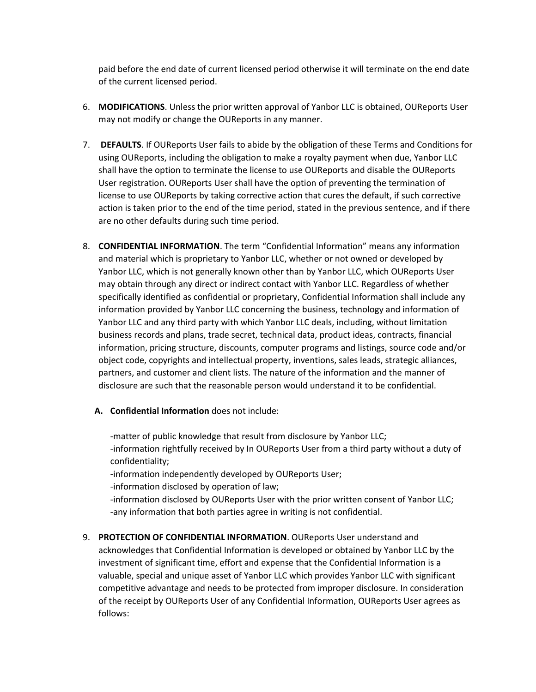paid before the end date of current licensed period otherwise it will terminate on the end date of the current licensed period.

- 6. **MODIFICATIONS**. Unless the prior written approval of Yanbor LLC is obtained, OUReports User may not modify or change the OUReports in any manner.
- 7. **DEFAULTS**. If OUReports User fails to abide by the obligation of these Terms and Conditions for using OUReports, including the obligation to make a royalty payment when due, Yanbor LLC shall have the option to terminate the license to use OUReports and disable the OUReports User registration. OUReports User shall have the option of preventing the termination of license to use OUReports by taking corrective action that cures the default, if such corrective action is taken prior to the end of the time period, stated in the previous sentence, and if there are no other defaults during such time period.
- 8. **CONFIDENTIAL INFORMATION**. The term "Confidential Information" means any information and material which is proprietary to Yanbor LLC, whether or not owned or developed by Yanbor LLC, which is not generally known other than by Yanbor LLC, which OUReports User may obtain through any direct or indirect contact with Yanbor LLC. Regardless of whether specifically identified as confidential or proprietary, Confidential Information shall include any information provided by Yanbor LLC concerning the business, technology and information of Yanbor LLC and any third party with which Yanbor LLC deals, including, without limitation business records and plans, trade secret, technical data, product ideas, contracts, financial information, pricing structure, discounts, computer programs and listings, source code and/or object code, copyrights and intellectual property, inventions, sales leads, strategic alliances, partners, and customer and client lists. The nature of the information and the manner of disclosure are such that the reasonable person would understand it to be confidential.
	- **A. Confidential Information** does not include:

-matter of public knowledge that result from disclosure by Yanbor LLC; -information rightfully received by In OUReports User from a third party without a duty of confidentiality;

-information independently developed by OUReports User;

-information disclosed by operation of law;

-information disclosed by OUReports User with the prior written consent of Yanbor LLC; -any information that both parties agree in writing is not confidential.

9. **PROTECTION OF CONFIDENTIAL INFORMATION**. OUReports User understand and acknowledges that Confidential Information is developed or obtained by Yanbor LLC by the investment of significant time, effort and expense that the Confidential Information is a valuable, special and unique asset of Yanbor LLC which provides Yanbor LLC with significant competitive advantage and needs to be protected from improper disclosure. In consideration of the receipt by OUReports User of any Confidential Information, OUReports User agrees as follows: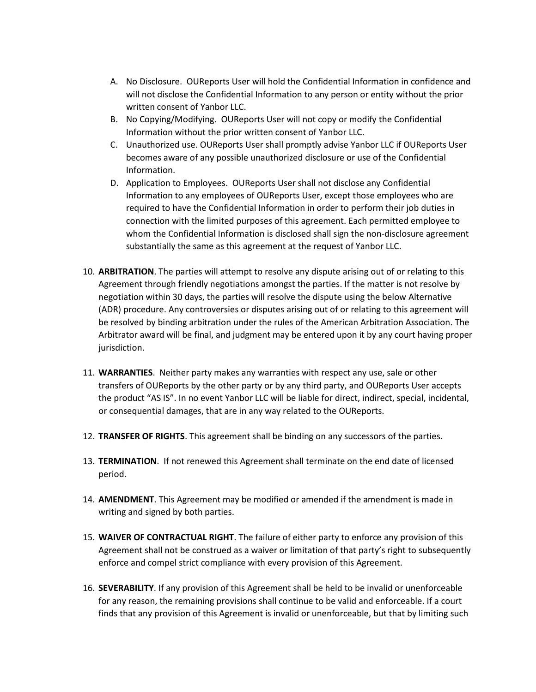- A. No Disclosure. OUReports User will hold the Confidential Information in confidence and will not disclose the Confidential Information to any person or entity without the prior written consent of Yanbor LLC.
- B. No Copying/Modifying. OUReports User will not copy or modify the Confidential Information without the prior written consent of Yanbor LLC.
- C. Unauthorized use. OUReports User shall promptly advise Yanbor LLC if OUReports User becomes aware of any possible unauthorized disclosure or use of the Confidential Information.
- D. Application to Employees. OUReports User shall not disclose any Confidential Information to any employees of OUReports User, except those employees who are required to have the Confidential Information in order to perform their job duties in connection with the limited purposes of this agreement. Each permitted employee to whom the Confidential Information is disclosed shall sign the non-disclosure agreement substantially the same as this agreement at the request of Yanbor LLC.
- 10. **ARBITRATION**. The parties will attempt to resolve any dispute arising out of or relating to this Agreement through friendly negotiations amongst the parties. If the matter is not resolve by negotiation within 30 days, the parties will resolve the dispute using the below Alternative (ADR) procedure. Any controversies or disputes arising out of or relating to this agreement will be resolved by binding arbitration under the rules of the American Arbitration Association. The Arbitrator award will be final, and judgment may be entered upon it by any court having proper jurisdiction.
- 11. **WARRANTIES**. Neither party makes any warranties with respect any use, sale or other transfers of OUReports by the other party or by any third party, and OUReports User accepts the product "AS IS". In no event Yanbor LLC will be liable for direct, indirect, special, incidental, or consequential damages, that are in any way related to the OUReports.
- 12. **TRANSFER OF RIGHTS**. This agreement shall be binding on any successors of the parties.
- 13. **TERMINATION**. If not renewed this Agreement shall terminate on the end date of licensed period.
- 14. **AMENDMENT**. This Agreement may be modified or amended if the amendment is made in writing and signed by both parties.
- 15. **WAIVER OF CONTRACTUAL RIGHT**. The failure of either party to enforce any provision of this Agreement shall not be construed as a waiver or limitation of that party's right to subsequently enforce and compel strict compliance with every provision of this Agreement.
- 16. **SEVERABILITY**. If any provision of this Agreement shall be held to be invalid or unenforceable for any reason, the remaining provisions shall continue to be valid and enforceable. If a court finds that any provision of this Agreement is invalid or unenforceable, but that by limiting such